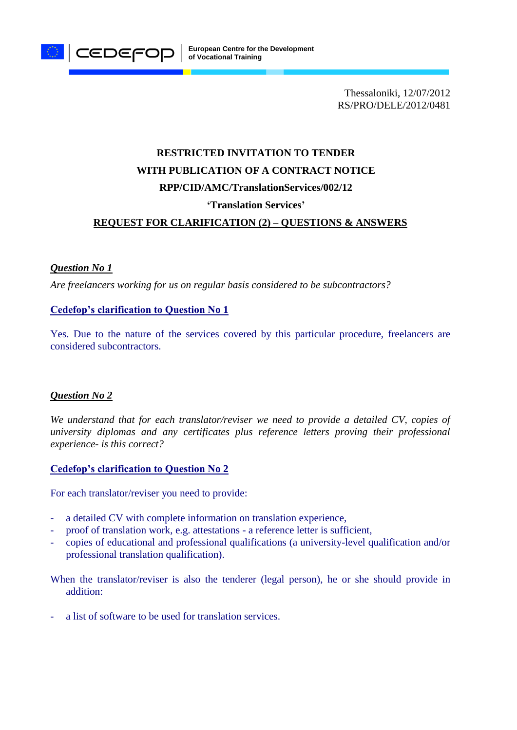

Thessaloniki, 12/07/2012 RS/PRO/DELE/2012/0481

# **RESTRICTED INVITATION TO TENDER WITH PUBLICATION OF A CONTRACT NOTICE RPP/CID/AMC/TranslationServices/002/12**

# **'Translation Services'**

# **REQUEST FOR CLARIFICATION (2) – QUESTIONS & ANSWERS**

## *Question No 1*

*Are freelancers working for us on regular basis considered to be subcontractors?*

# **Cedefop's clarification to Question No 1**

Yes. Due to the nature of the services covered by this particular procedure, freelancers are considered subcontractors.

## *Question No 2*

*We understand that for each translator/reviser we need to provide a detailed CV, copies of university diplomas and any certificates plus reference letters proving their professional experience- is this correct?*

#### **Cedefop's clarification to Question No 2**

For each translator/reviser you need to provide:

- a detailed CV with complete information on translation experience,
- proof of translation work, e.g. attestations a reference letter is sufficient,
- copies of educational and professional qualifications (a university-level qualification and/or professional translation qualification).

When the translator/reviser is also the tenderer (legal person), he or she should provide in addition:

a list of software to be used for translation services.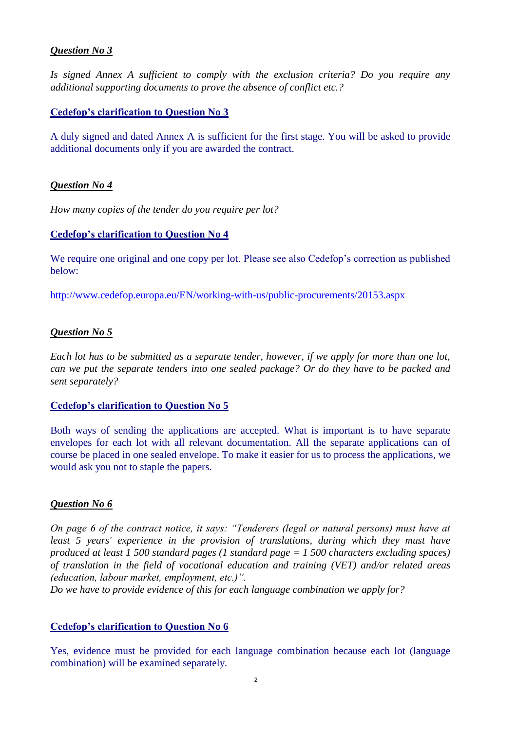# *Question No 3*

*Is signed Annex A sufficient to comply with the exclusion criteria? Do you require any additional supporting documents to prove the absence of conflict etc.?*

## **Cedefop's clarification to Question No 3**

A duly signed and dated Annex A is sufficient for the first stage. You will be asked to provide additional documents only if you are awarded the contract.

#### *Question No 4*

*How many copies of the tender do you require per lot?* 

## **Cedefop's clarification to Question No 4**

We require one original and one copy per lot. Please see also Cedefop's correction as published below:

<http://www.cedefop.europa.eu/EN/working-with-us/public-procurements/20153.aspx>

#### *Question No 5*

*Each lot has to be submitted as a separate tender, however, if we apply for more than one lot, can we put the separate tenders into one sealed package? Or do they have to be packed and sent separately?* 

#### **Cedefop's clarification to Question No 5**

Both ways of sending the applications are accepted. What is important is to have separate envelopes for each lot with all relevant documentation. All the separate applications can of course be placed in one sealed envelope. To make it easier for us to process the applications, we would ask you not to staple the papers.

#### *Question No 6*

*On page 6 of the contract notice, it says: "Tenderers (legal or natural persons) must have at*  least 5 years' experience in the provision of translations, during which they must have *produced at least 1 500 standard pages (1 standard page = 1 500 characters excluding spaces) of translation in the field of vocational education and training (VET) and/or related areas (education, labour market, employment, etc.)".*

*Do we have to provide evidence of this for each language combination we apply for?*

#### **Cedefop's clarification to Question No 6**

Yes, evidence must be provided for each language combination because each lot (language combination) will be examined separately.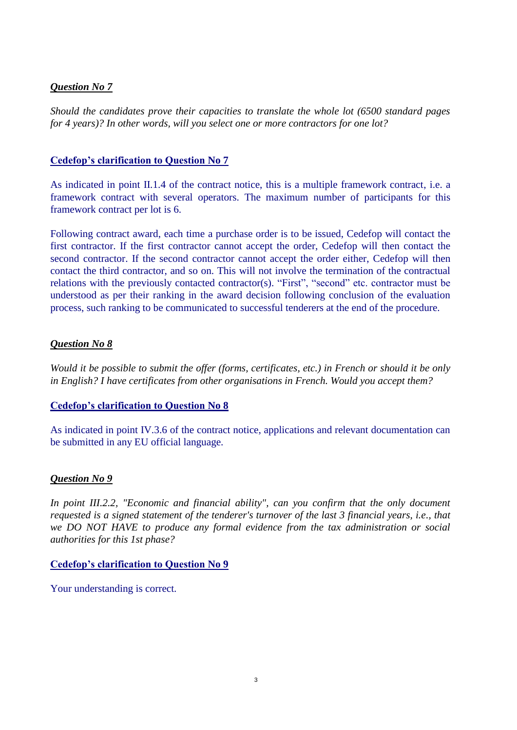# *Question No 7*

*Should the candidates prove their capacities to translate the whole lot (6500 standard pages for 4 years)? In other words, will you select one or more contractors for one lot?* 

# **Cedefop's clarification to Question No 7**

As indicated in point II.1.4 of the contract notice, this is a multiple framework contract, i.e. a framework contract with several operators. The maximum number of participants for this framework contract per lot is 6.

Following contract award, each time a purchase order is to be issued, Cedefop will contact the first contractor. If the first contractor cannot accept the order, Cedefop will then contact the second contractor. If the second contractor cannot accept the order either, Cedefop will then contact the third contractor, and so on. This will not involve the termination of the contractual relations with the previously contacted contractor(s). "First", "second" etc. contractor must be understood as per their ranking in the award decision following conclusion of the evaluation process, such ranking to be communicated to successful tenderers at the end of the procedure.

# *Question No 8*

*Would it be possible to submit the offer (forms, certificates, etc.) in French or should it be only in English? I have certificates from other organisations in French. Would you accept them?*

## **Cedefop's clarification to Question No 8**

As indicated in point IV.3.6 of the contract notice, applications and relevant documentation can be submitted in any EU official language.

## *Question No 9*

*In point III.2.2, "Economic and financial ability", can you confirm that the only document requested is a signed statement of the tenderer's turnover of the last 3 financial years, i.e., that we DO NOT HAVE to produce any formal evidence from the tax administration or social authorities for this 1st phase?*

## **Cedefop's clarification to Question No 9**

Your understanding is correct.